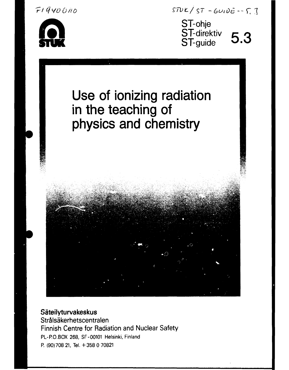

*r* 1 Qvo 6 No



# Use of ionizing radiation in the teaching of physics and chemistry



### **Säteilyturvakeskus Strålsäkerhetscentralen** Finnish Centre for Radiation and Nuclear Safety PL-P.O.BOX 268, SF-00101 Helsinki, Finland P. (90)708 21, Tel. +358 0 70821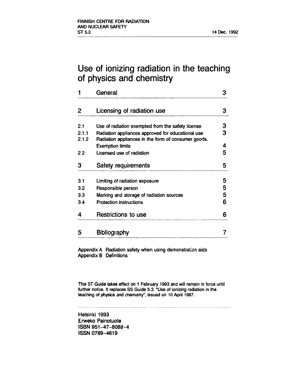### **Use of ionizing radiation in the teaching of physics and chemistry**

| General                                                                                                  | 3 |
|----------------------------------------------------------------------------------------------------------|---|
| Licensing of radiation use                                                                               | 3 |
| Use of radiation exempted from the safety license                                                        | 3 |
| Radiation appliances approved for educational use<br>Radiation appliances in the form of consumer goods. | 3 |
| <b>Exemption limits</b>                                                                                  | 4 |
| Licensed use of radiation                                                                                | 5 |
| Safety requirements                                                                                      | 5 |
| Limiting of radiation exposure                                                                           | 5 |
| Responsible person                                                                                       | 5 |
| Marking and storage of radiation sources                                                                 | 5 |
| Protection instructions                                                                                  | 6 |
| <b>Restrictions to use</b>                                                                               | 6 |
| <b>Bibliography</b>                                                                                      |   |
|                                                                                                          |   |

Appendix A Radiation safety when using demonstration aids Appendix B Definitions

This ST Guide takes effect on 1 February 1993 and will remain in force until further notice. It replaces SS Guide 5.3, "Use of ionizing radiation in the teaching of physics and chemistry", issued on 10 April 1987.

Helsinki 1993 Erweko Painotuote ISBN 951-47-8088-4 ISSN 0789-4619

 $-1$  ,  $-1$  ,  $-1$  ,  $-1$  ,  $-1$  ,  $-1$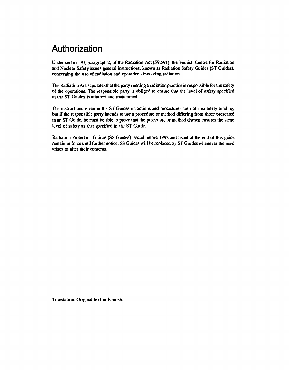### **Authorization**

**Under section 70, paragraph 2, of the Radiation Act (592/91), the Finnish Centre for Radiation and Nuclear Safety issues general instructions, known as Radiation Safety Guides (ST Guides), concerning the use of radiation and operations involving radiation.** 

**The Radiation Act stipulates that the party running a radiation practice is responsible for the safety of the operations. The responsible party is obliged to ensure that the level of safety specified in the ST Guides is attained and maintained.** 

**The instructions given in the ST Guides on actions and procedures are not absolutely binding, but if the responsible prty intends to use a procedure or method differing from those presented in an ST Guide, he must be able to prove that the procedure or method chosen ensures the same level of safety as that specified in the ST Guide.** 

**Radiation Protection Guides (SS Guides) issued before 1992 and listed at the end of this guide remain in force until further notice. SS Guides will be replaced by ST Guides whenever the need arises to alter their contents.** 

**Translation. Original text in Finnish.**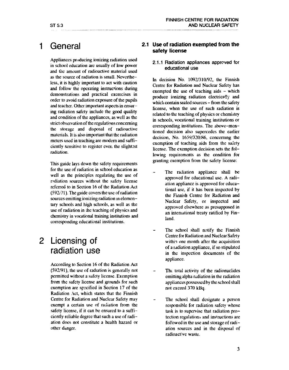### 1 General

Appliances producing ionizing radiation used in school education are usually of low power and the amount of radioactive material used as the source of radiation is small. Nevertheless, it is highly important to act with caution and follow the operating instructions during demonstrations and practical excercises in order to avoid radiation exposure of the pupils and teacher. Other important aspects in ensuring radiation safety include the good quality and condition of the appliances, as well as the strict observation of the regulations concerning the storage and disposal of radioactive materials. It is also important that the radiation meters used in teaching are modern and sufficiently sensitive to register ever: the slightest radiation.

This guide lays down the safety requirements for the use of radiation in school education as well as the principles regulating the use of ndiation sources without the safety license referred to in Section 16 of the Radiation Act (592/21). The guide covers the use of radiation sources emitting ionizing radiation in elementary schools and high schools, as well as the use of radiation in the teaching of physics and chemistry in vocational training institutions and corresponding educational institutions.

### 2 Licensing of radiation use

According to Section 16 of the Radiation Act (592/91), the use of radiation is generally not permitted without a safety license. Exemption from the safety license and grounds for such exemption arc specified in Section 17 of the Radiation Act, which states that the Finnish Centre for Radiation and Nuclear Safety may exempt a certain use of radiation from the safety license, if it can be ensured to a sufficiently reliable degree that such a use of radiation docs not constitute a health hazard or other danger.

### **2.1 Use of radiation exempted from the safety license**

### 2.1.1 Radiation appliances approved for educational use

In decision No. 1092/310/92, the Finnish Centre for Radiation and Nuclear Safety has exempted the use of teaching aids - which produce ionizing radiation electrically and which contain sealed sources - from the safety license, when the use of such radiation is related to the teaching of physics or chemistry in schools, vocational training institutions or corresponding institutions. The above-mentioned decision also supercedes the earlier decision, No. 1659/320/86, concerning the exemption of teaching aids from the safety license. The exemption decision sets the following requirements as the condition for granting exemption from the safety license:

- The radiation appliance shall be approved for educational use. A radiation appliance is approved for educational use, if it has been inspected by the Finnish Centre for Radiation and Nuclear Safety, or inspected and approved elsewhere as presupposed in an international treaty ratified by Finland.
- The school shall notify the Finnish Centre for Radiation and Nuclear Safety within one month after the acquisition of a radiation appliance, if so stipulated in the inspection documents of the appliance.
- The total activity of the radionuclides emitting alpha radiation in the radiation appliances possessed by the school shall not exceed 370 kBq.
- The school shall designate a person responsible for radiation safety whose task is to supervise that radiation protection regulations and instructions arc followed in the use and storage of radiation sources and in the disposal of radioactive waste.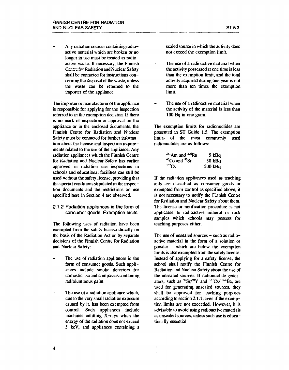**Any radiation sources containing radioactive material which are broken or no longer in use must be treated as radioactive waste. If necessary, the Finnish Centre for Radiation and Nuclear Safety shall be contacted for instructions concerning the disposal of the waste, unless the waste can be returned to the importer of the appliance.** 

**The importer or manufacturer of the appliance is responsible for applying for the inspection referred to in the exemption decision. If there is no mark of inspection or approval on the appliance or in the enclosed c^cuments, the Finnish Centre for Radiation and Nuclear Safety must be contacted for further information about the license and inspection requirements related to the use of the appliance. Any radiation appliances which the Finnish Centre for Radiation and Nuclear Safety has earlier approved in radiation use inspections in schools and educational facilities can still be used without the safety license, providing that the special conditions stipulated in the inspection documents and the restrictions on use specified here in Section 4 are observed.** 

#### 2.1.2 Radiation appliances in the form of consumer goods. Exemption limits

**The following uses of radiation have been exempted from the safety license directly on the basis of the Radiation Act or by separate decisions of the Finnish Centre for Radiation and Nuclear Safety:** 

- **The use of radiation appliances in the form of consumer goods. Such appliances include smoke detectors for domestic use and compasses containing radioluminous paint.**
- **The use of a radiation appliance which, due to the very small radiation exposure caused by it, has been exempted from control. Such appliances include machines emitting X-rays when the energy of the radiation does not exceed 5 keV, and appliances containing a**

**sealed source in which the activity docs not exceed the exemption limit.** 

- **The use of a radioactive material when the activity possessed at one time is less than the exemption limit, and the total activity acquired during one year is not more than ten times the exemption limit.**
- **The use of a radioactive material when the activity of the material is less than 100 Bq in one gram.**

**The exemption limits for radionuclides are presented in ST Guide 1.5. The exemption limits of the most commonly used radionuclides are as follows:** 

| $^{241}$ Am and $^{226}$ Ra           | 5 kBq     |
|---------------------------------------|-----------|
| <sup>60</sup> Co and <sup>90</sup> Sr | 50 kBq    |
| $137$ Cs                              | 500 $kBq$ |

**If the radiation appliances used as teaching aids are classified as consumer goods or exempted from control as specified above, it is not necessary to notify the Finish Centre for Rrdiation and Nuclear Safety about them. The license or notification procedure is not applicable to radioactive mineral or rock samples which schools may possess for teaching purposes cither.** 

**The use of unsealed sources - such as radioactive material in the form of a solution or powder - which are below the exemption limits is also exempted from the safety license. Instead of applying for a safety license, the school shall notify the Finnish Centre for Radiation and Nuclear Safety about the use of the unsealed sources. If radionuclide gener**ators, such as  $\frac{90}{5}$ **c** $\frac{90}{10}$ **Y** and  $\frac{137}{5}$ Cs/ $\frac{17}{10}$ **Ba**, are **used for generating unsealed sources, they shall be approved for teaching purposes according to section 2.1.1, even if the exemption limits arc not exceeded. However, it is advisable to avoid using radioactive materials as unsealed sources, unless such use is educationally essential.**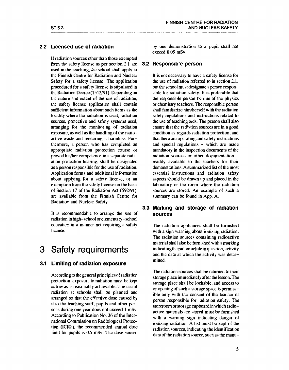### **2.2 Licensed use of radiation**

If radiation sources other than those exempted from the safety license as per section 2.1 are used in the teaching, the school shall apply to the Finnish Centre for Radiation and Nuclear Safety for a safety license. The application procedured for a safety license is stipulated in the Radiation Decree (1512/91). Depending on the nature and extent of the use of radiation, the safety license application shall contain sufficient information about such items as the locality where the radiation is used, radiation sources, protective and safety systems used, arranging for the monitoring of radiation exposure, as well as the handling of the rauioactive waste and rendering it harmless. Furthermore, a person who has completed an appropriate radiation protection course or proved his/her competence in a separate radiation protection hearing, shall be designated as a person responsible for the use of radiation. Application forms and additional information about applying for a safety license, or an exemption from the safety license on the basis of Section 17 of the Radiation Act (592/91), are available from the Finnish Centre for Radiatior and Nuclear Safety.

It is recommendab'e to arrange the use of radiation in high-school or elementary-school education in a manner not requiring a safety license.

### **3 Safety requirements**

### **3.1 Limiting of radiation exposure**

Accordingto the general principlesof radiation protection, exposure to radiation must be kept as low as is reasonably achievable. The use of radiation at schools shall be planned and arranged so that the effective dose caused by it to the teaching staff, pupils and other persons during one year docs not exceed 1 mSv. According to Publication No. 36 of the International Commission on Radiological Protection (ICRF), the recommended annual dose limit for pupils is 0.5 mSv. The dose "auscd by one demonstration to a pupil shall not exceed 0.05 mSv.

#### **3.2 Responsib'e person**

It is not necessary to have a safety license for the use of radiation referred to in section 2.1, but the school must designate a person responsible for radiation safety. It is preferable that the responsible person be one of the physics or chemistry teachers. The responsible person shall familiarize him/herself with the radiation safety regulations and instructions related to the use of teaching aids. The person shall also ensure that the radiation sources are in a good condition as regards radiation protection, and that there are operating and safety instructions and special regulations - which are made mandatory in the inspection documents of the radiation sources or other documentation readily available to the teachers for their demonstrations. A summarized list of the most essential instructions and radiation safety aspects should be drawn up and placed in the laboratory or the room where the radiation sources are stored. An example of such a summary can be found in App. A.

### **3.3 Marking and storage of radiation sources**

The radiation appliances shall be furnished with a sign warning about ionizing radiation. The radiation sources containing radioactive material shall also be furnished with a marking indicating the radionuclide in question, activity and the date at which the activity was determined.

The radiation sources shall be returned to their storage place immediately after the lesson. The storage place shall be lockable, and access to or opening of such a storage space is permissible only with the consent of the teacher or person responsible for adiation safety. The storeroom or storage cupboard in which radioactive materials arc stored must be furnished with a warning sign indicating danger of ionizing radiation. A list must be kept of the radiation sources, indicating the identification data of the radiation source, such as the manu-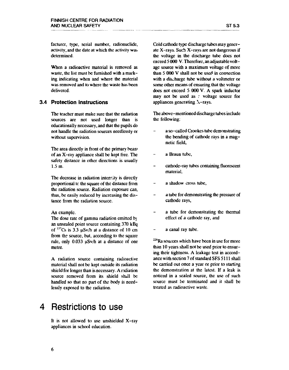When a radioactive material is removed as waste, the list must be furnished with a marking indicating when and where the material was removed and to where the waste has been delivered.

### **Protection instructions**

The teacher must make sure that the radiation sources are not used longer than is educationally necessary, and that the pupils do not handle the radiation sources needlessly or without supervision.

The area directly in front of the primary bean» of an X-ray appliance shall be kept free. The safety distance in other directions is usually 1.5 m.

The decrease in radiation intensity is directly proportional tc the square of the distance from the radiation source. Radiation exposure can, thus, be easily reduced by increasing the distance from the radiation source.

An example.

The dose rate of gamma radiation emitted by an unsealed point source containing 370 kBq of  $137$ Cs is 3.3  $\mu$ Sv/h at a distance of 10 cm from the source, but, according to the square rule, only 0.033 uSv/h at a distance of one metre.

A radiation source containing radioactive material shall not be kept outside its radiation shield for longer than is necessary. A radiation source removed from its shield shall be handled so that no part of the body is needlessly exposed to the radiation.

### **4** Restrictions to use

It is not allowed to use unshielded X-ray appliances in school education.

Cold cathode type discharge tubes may generate X-rays. Such X-rays are not dangerous if the voltage in the discharge tube docs not exceed 5 000 V. Therefore, an adjustable voltage source with a maximum voltage of more than 5 000 V shall not be used in connection with a discharge tube without a voltmeter or some other means of ensuring that the voltage does not exceed 5 000 V. A spark inductor may not be used as  $\epsilon$  voltage source for appliances generating  $\lambda$ -rays.

The above-mentioned discharge tubes include the following:

- a so-called Crookcs tube demonstrating the bending of cathode rays in a magnetic field,
- a Braun tube,
- cathode-ray tubes containing fluorescent material,
- a shadow cross tube,
- a tube for demonstrating the pressure of cathode rays,
- a tube for demonstrating the thermal effect of a cathode ray, and
- $\overline{a}$ a canal ray tube.

<sup>226</sup>Ra sources which have been in use for more than 10 years shall not be used prior to ensuring their tightness. A leakage test in accordance with section 7 of standard SFS 5111 shall be carried out once a year or prior to starting the demonstration at the latest. If a leak is noticed in a scaled source, the use of such source must be terminated and it shall be treated as radioactive waste.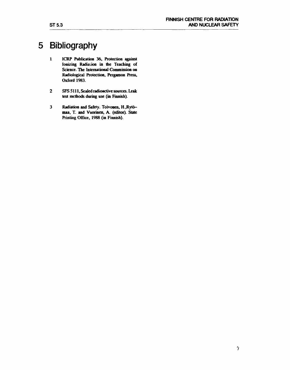## **5 Bibliography**

- **1 ICRP Publication 36, Protection against Ionizing Radiation in the Teaching of Science. The International Commission on Radiological Protection, Pergamon Press, Oxford 1983.**
- **2 SFS 5111, Sealed radioactive sources. Leak test methods during use (in Finnish).**
- **3 Radiation and Safety. Toivonen, H.Rytömaa, T. and Vuorinen, A. (editor). State Printing Office, 1988 (in Finnish).**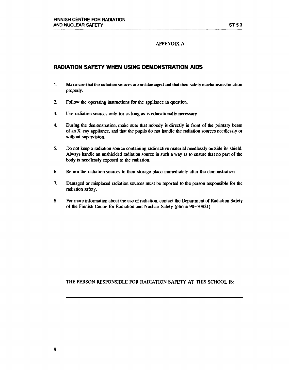### **APPENDIX A**

### **RADIATION SAFETY WHEN USING DEMONSTRATION AIDS**

- **1. Make sure that the radiation sources are not damaged and that their safety mechanisms function properly.**
- **2. Follow the operating instructions for the appliance in question.**
- **3. Use radiation sources only for as long as is educationally necessary.**
- **4. During the demonstration, make sure that nobody is directly in front of the primary beam of an X-ray appliance, and that the pupils do not handle the radiation sources needlessly or without supervision.**
- 5. Do not keep a radiation source containing radioactive material needlessly outside its shield. **Always handle an unshielded radiation source in such a way as to ensure that no part of the body is needlessly exposed to the radiation.**
- **6. Return the radiation sources to their storage place immediately after the demonstration.**
- **7. Damaged or misplaced radiation sources must be reported to the person responsible for the radiation safety.**
- **8. For more information about the use of radiation, contact the Department of Radiation Safety of the Finnish Centre for Radiation and Nuclear Safety (phone 90-70821).**

**THE PERSON RESPONSIBLE FOR RADIATION SAFETY AT THIS SCHOOL IS:**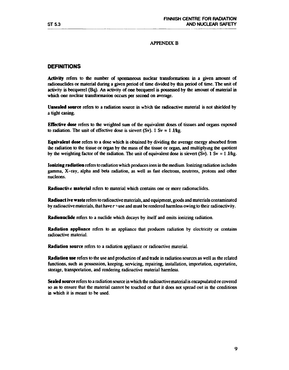### **APPENDIX B**

### **DEFINITIONS**

**Activity** refers to the number of spontaneous nuclear transformations in a given amount of radionuclides or material during a given period of time divided by this period of time. The unit of activity is becquerel (Bq). An activity of one becquerel is possessed by the amount of material in which one nuclear transformation occurs per second on average.

**Unsealed source** refers to a radiation source in which the radioactive material is not shielded by a tight casing.

**Effective dose** refers to the weighted sum of the equivalent doses of tissues and organs exposed to radiation. The unit of effective dose is sievert (Sv). 1 Sv = 1 J/kg.

**Equivalent dose** refers to a dose which is obtained by dividing the average energy absorbed from the radiation to the tissue or organ by the mass of the tissue or organ, and multiplying the quotient by the weighting factor of the radiation. The unit of equivalent dose is sievert (Sv). 1 Sv = 1 J/kg.

**Ionizing radiation** refers to radiation which produces ions in the medium. Ionizing radiation includes gamma, X-ray, alpha and beta radiation, as well as fast electrons, neutrons, protons and other nucleons.

**Radioactive material** refers to material which contains one or more radionuclides.

**Radioact ive waste** refers to radioactive materials, and equipment, goods and materials contaminated by radioactive materials, that have  $r \gamma$  use and must be rendered harmless owing to their radioactivity.

**Radionuclide** refers to a nuclide which decays by itself and emits ionizing radiation.

**Radiation appliance** refers to an appliance that produces radiation by electricity or contains radioactive material.

**Radiation source** refers to a radiation appliance or radioactive material.

**Radiation use** refers to the use and production of and trade in radiation sources as well as the related functions, such as possession, keeping, servicing, repairing, installation, importation, exportation, storage, transportation, and rendering radioactive material harmless.

**Sealed source** refers to a radiation source in which the radioactive material is encapsulated or covered so as to ensure that the material cannot be touched or that it does not spread out in the conditions in which it is meant to be used.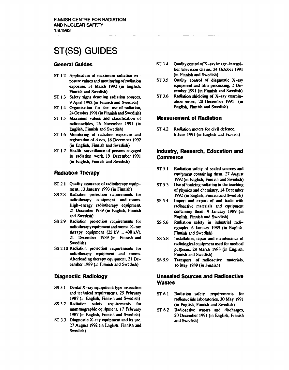## **ST(SS) GUIDES**

### **General Guides**

- ST 1.2 Application of maximum radiation ex**posure values and monitoring of radiation exposure, 31 March 1992 (in English, Finnish and Swedish)**
- **ST 1.3 Safety signs denoting radiation sources, 9 April 1992 (in Finnish and Swedish)**
- **ST 1.4 Organization for the use of radiation, 24 October 1991 (in Finnish and Swedish)**
- **ST 1.5 Maximum values and classification of radionuclides, 26 November 1991 (in English, Finnish and Swedish)**
- **ST 1.6 Monitoring of radiation exposure and registration of doses, 16 December 1992 (in English, Finnish and Swedish)**
- **ST 1.7 Health surveillance of persons engaged in radiation work, 19 December 1991 (in English, Finnish and Swedish)**

### **Radiation Therapy**

- **ST 2.1 Quality assurance of radiotherapy equipment, 13 January i993 (in Finnish)**
- **SS 2.8 Radiation protection requirements for .adiothcrapy equipment and rooms. High-energy radiotherapy equipment, 21 December 1989 (in English, Finnish and Swedish)**
- **SS 2.9 Radiation protection requirements for radiotherapy equipment and rooms. X -ray therapy equipment (25 kV ... 400 kV), 21 December 1989 (in Finnish and Swedish)**
- **SS 2.10 Radiation protection requirements for radiotherapy equipment and rooms. Afterloading therapy equipment, 21 December 1989 (in Finnish and Swedish)**

### **Diagnostic Radiology**

- **SS 3.1 Dentil X-ray equipment: type inspection and technical requirements, 25 February 1987 (in English, Finnish and Swedish)**
- **SS 3.2 Radiation safety requirements for mammographic equipment, 17 February 1987 (in English, Finnish and Swedish)**
- **ST 3.3 Diagnostic X-ray equipment and its use, 27 August 1992 (in English, Finnish and Swedish)**
- **ST 3.4 Quality control of X-ray image-intensificr television chains, 24 October 1991 (in Finnish and Swedish)**
- **ST 3.5 Quality control of diagnostic X-ray equipment and film processing, 3 December 1991 (in Finnish and Swedish)**
- **ST 3.6 Radiation shielding of X-ray examination rooms, 20 December 1991 (in English, Finnish and Swedish)**

### **Measurement of Radiation**

**ST 4.2 Radiation meters for civil defence, 6 June 1991 (in English and Finnish)** 

### **industry, Research, Education and Commerce**

- **ST 5.1 Radiation safety of scaled sources and equipment containing them, 27 August 1992 (in English, Finnish and Swedish)**
- **ST 5.3** Use of *ionizing radiation* in the teaching **of physics and chemistry, 14 December 1992 (in English, Finnish and Swedish)**
- **SS 5.4 Import and export of and trade with radioactive materials and equipment containing them, 9 January 1989 (in English, Finnish and Swedish)**
- **SS 5.6 Radiation safety in industrial radiography, 6 January 1989 (in English, Finnish and Swedish)**
- **SS 5.8 Installation, repair and maintenance of radiological equipment used for medical purposes, 28 March 1988 (in English, Finnish and Swedish)**
- **SS 5.9 Transport of radioactive materials, 16 May 1989 (in Finnish)**

### **Unsealed Sources and Radioactive Wastes**

- **ST 6.1 Radiation safety requirements for radionuclide laboratories, 30 May 1991 (in English, Finnish and Swedish)**
- **ST 6.2 Radioactive wastes and discharges, 20 December 199] (in English, Finnish and Swedish)**